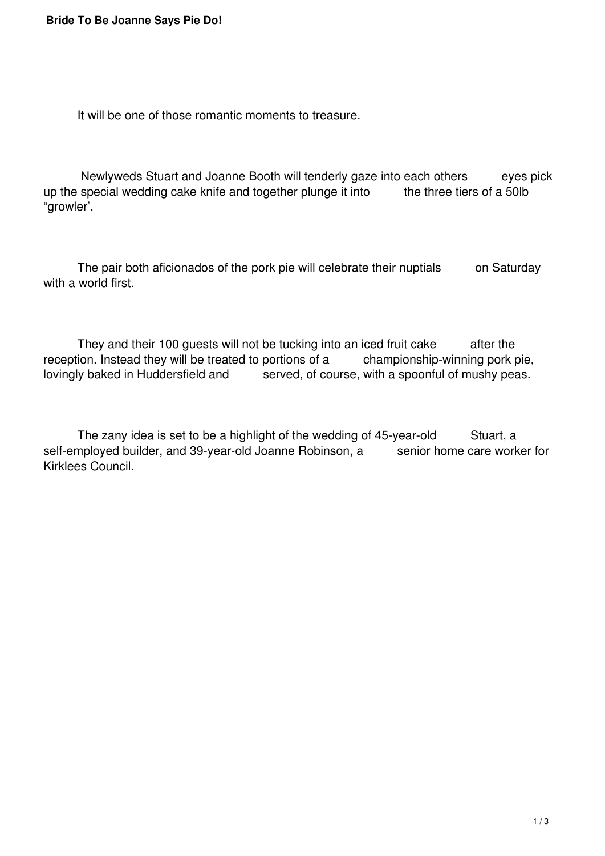It will be one of those romantic moments to treasure.

Newlyweds Stuart and Joanne Booth will tenderly gaze into each others eyes pick up the special wedding cake knife and together plunge it into the three tiers of a 50lb "growler'.

The pair both aficionados of the pork pie will celebrate their nuptials on Saturday with a world first.

They and their 100 guests will not be tucking into an iced fruit cake after the after the ion. Instead they will be treated to portions of a championship-winning pork pie, reception. Instead they will be treated to portions of a lovingly baked in Huddersfield and served, of com served, of course, with a spoonful of mushy peas.

The zany idea is set to be a highlight of the wedding of 45-year-old Stuart, a self-employed builder, and 39-year-old Joanne Robinson, a senior home care worker for Kirklees Council.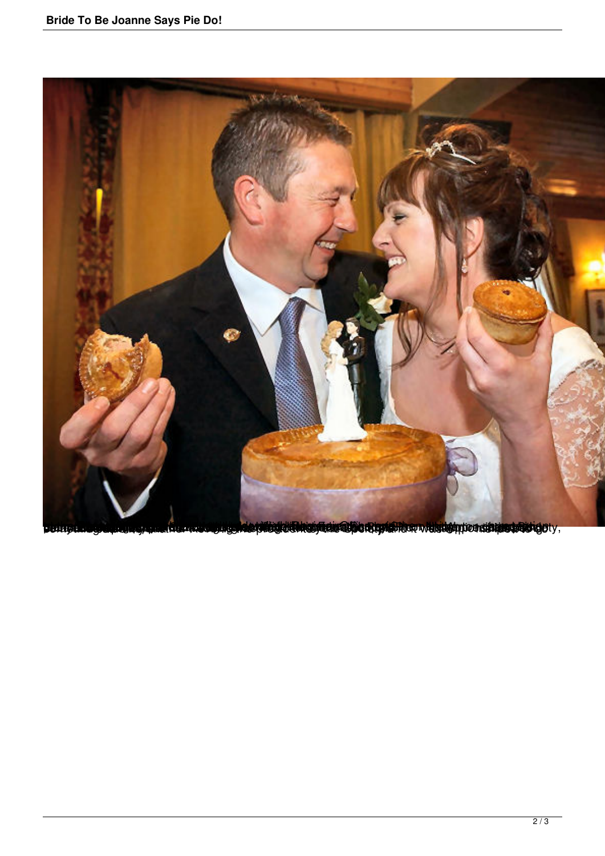